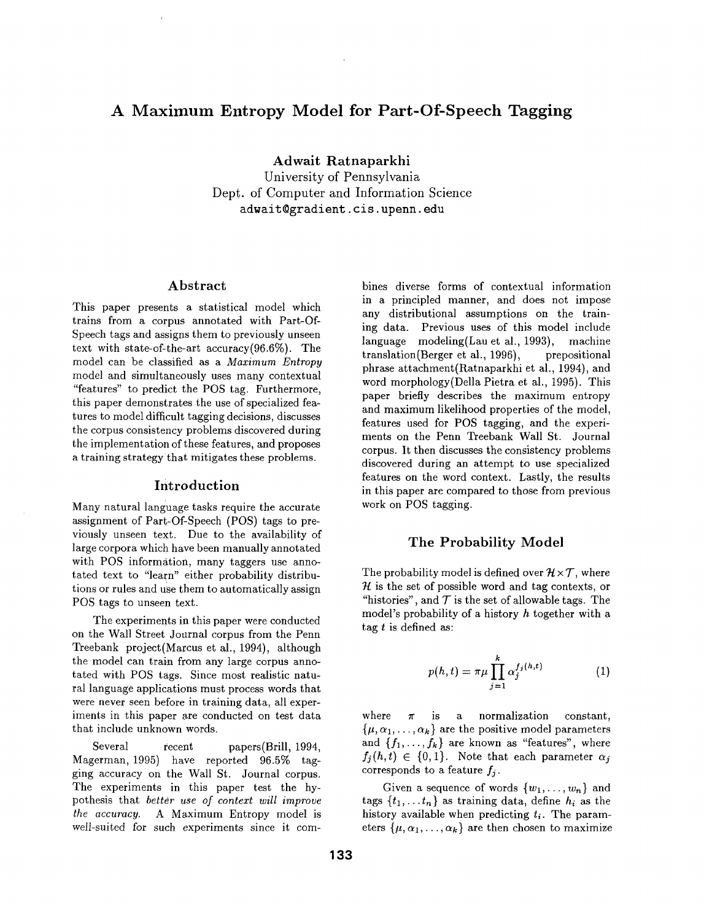# **A Maximum Entropy Model for Part-Of-Speech Tagging**

**Adwait Ratnaparkhi**  University of Pennsylvania Dept. of Computer and Information Science adwait~gradient, cis. upenn, **edu** 

#### Abstract

This paper presents a statistical model which trains from a corpus annotated with Part-Of-Speech tags and assigns them to previously unseen text with state-of-the-art accuracy(96.6%). The model can be classified as a *Maximum Entropy*  model and simultaneously uses many contextual "features" to predict the POS tag. Furthermore, this paper demonstrates the use of specialized features to model difficult tagging decisions, discusses the corpus consistency problems discovered during the implementation of these features, and proposes a training strategy that mitigates these problems.

#### Introduction

Many natural language tasks require the accurate assignment of Part-Of-Speech (POS) tags to previously unseen text. Due to the availability of large corpora which have been manually annotated with POS information, many taggers use annotated text to "learn" either probability distributions or rules and use them to automatically assign POS tags to unseen text.

The experiments in this paper were conducted on the Wall Street Journal corpus from the Penn Treebank project(Marcus et al., 1994), although the model can train from any large corpus annotated with POS tags. Since most realistic natural language applications must process words that were never seen before in training data, all experiments in this paper are conducted on test data that include unknown words.

Several recent papers(Brill, 1994, Magerman, 1995) have reported 96.5% tagging accuracy on the Wall St. Journal corpus. The experiments in this paper test the hypothesis that *better use of context will improve the accuracy.* A Maximum Entropy model is well-suited for such experiments since it com-

bines diverse forms of contextual information in a principled manner, and does not impose any distributional assumptions on the training data. Previous uses of this model include language modeling(Lau et al., 1993), machine translation(Berger et al., 1996), prepositional phrase attachment(Ratnaparkhi et al., 1994), and word morphology(Della Pietra et al., 1995). This paper briefly describes the maximum entropy and maximum likelihood properties of the model, features used for POS tagging, and the experiments on the Penn Treebank Wall St. Journal corpus. It then discusses the consistency problems discovered during an attempt to use specialized features on the word context. Lastly, the results **in** this paper are compared to those from previous work on POS tagging.

### **The Probability Model**

The probability model is defined over  $\mathcal{H} \times \mathcal{T}$ , where  $\mathcal H$  is the set of possible word and tag contexts, or "histories", and  $\mathcal T$  is the set of allowable tags. The model's probability of a history h together with a tag  $t$  is defined as:

$$
p(h,t) = \pi \mu \prod_{j=1}^{k} \alpha_j^{f_j(h,t)} \tag{1}
$$

where  $\pi$  is a normalization constant,  $\{\mu, \alpha_1, \ldots, \alpha_k\}$  are the positive model parameters and  $\{f_1,\ldots,f_k\}$  are known as "features", where  $f_i(h,t) \in \{0,1\}$ . Note that each parameter  $\alpha_i$ corresponds to a feature *fj.* 

Given a sequence of words  $\{w_1, \ldots, w_n\}$  and tags  $\{t_1, \ldots t_n\}$  as training data, define  $h_i$  as the history available when predicting  $t_i$ . The parameters  $\{\mu, \alpha_1, \ldots, \alpha_k\}$  are then chosen to maximize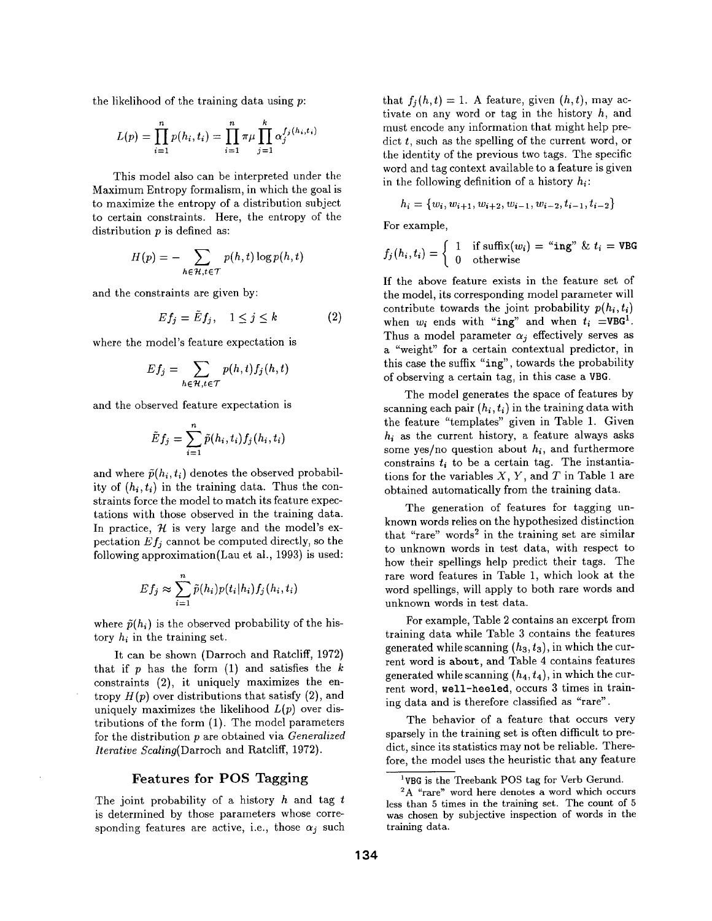the likelihood of the training data using  $p$ :

$$
L(p) = \prod_{i=1}^{n} p(h_i, t_i) = \prod_{i=1}^{n} \pi \mu \prod_{j=1}^{k} \alpha_j^{f_j(h_i, t_i)}
$$

This model also can be interpreted under the Maximum Entropy formalism, in which the goal is to maximize the entropy of a distribution subject to certain constraints. Here, the entropy of the distribution  $p$  is defined as:

$$
H(p) = -\sum_{h \in \mathcal{H}, t \in \mathcal{T}} p(h, t) \log p(h, t)
$$

and the constraints are given by:

$$
Ef_j = \tilde{E}f_j, \quad 1 \le j \le k \tag{2}
$$

where the model's feature expectation is

$$
Ef_j = \sum_{h \in \mathcal{H}, t \in \mathcal{T}} p(h, t) f_j(h, t)
$$

and the observed feature expectation is

$$
\tilde{E}f_j=\sum_{i=1}^n\tilde{p}(h_i,t_i)f_j(h_i,t_i)
$$

and where  $\tilde{p}(h_i, t_i)$  denotes the observed probability of  $(h_i, t_i)$  in the training data. Thus the constraints force the model to match its feature expectations with those observed in the training data. In practice,  $\mathcal{H}$  is very large and the model's expectation  $Ef_j$  cannot be computed directly, so the following approximation(Lau et al., 1993) is used:

$$
Ef_j \approx \sum_{i=1}^n \tilde{p}(h_i)p(t_i|h_i)f_j(h_i,t_i)
$$

where  $\tilde{p}(h_i)$  is the observed probability of the history  $h_i$  in the training set.

It can be shown (Darroch and Ratcliff, 1972) that if  $p$  has the form  $(1)$  and satisfies the  $k$ constraints (2), it uniquely maximizes the entropy  $H(p)$  over distributions that satisfy  $(2)$ , and uniquely maximizes the likelihood  $L(p)$  over distributions of the form (1). The model parameters for the distribution p are obtained via *Generalized Iterative Scaling(Darroch* and Ratcliff, 1972).

#### Features for POS Tagging

The joint probability of a history  $h$  and tag  $t$ is determined by those parameters whose corresponding features are active, i.e., those  $\alpha_j$  such that  $f_i(h,t) = 1$ . A feature, given  $(h,t)$ , may activate on any word or tag in the history  $h$ , and must encode any information that might help predict  $t$ , such as the spelling of the current word, or the identity of the previous two tags. The specific word and tag context available to a feature is given in the following definition of a history  $h_i$ :

$$
h_i = \{w_i, w_{i+1}, w_{i+2}, w_{i-1}, w_{i-2}, t_{i-1}, t_{i-2}\}
$$

For example,

$$
f_j(h_i, t_i) = \begin{cases} 1 & \text{if suffix}(w_i) = \text{``ing''} \& t_i = \text{VBG} \\ 0 & \text{otherwise} \end{cases}
$$

If the above feature exists in the feature set of the model, its corresponding model parameter will contribute towards the joint probability  $p(h_i, t_i)$ when  $w_i$  ends with "ing" and when  $t_i$  =VBG<sup>1</sup>. Thus a model parameter  $\alpha_j$  effectively serves as a "weight" for a certain contextual predictor, in this case the suffix "ing", towards the probability of observing a certain tag, in this case a VBG.

The model generates the space of features by scanning each pair  $(h_i, t_i)$  in the training data with the feature "templates" given in Table 1. Given  $h_i$  as the current history, a feature always asks some yes/no question about *hi,* and furthermore constrains  $t_i$  to be a certain tag. The instantiations for the variables  $X, Y$ , and  $T$  in Table 1 are obtained automatically from the training data.

The generation of features for tagging unknown words relies on the hypothesized distinction that "rare" words<sup>2</sup> in the training set are similar to unknown words in test data, with respect to how their spellings help predict their tags. The rare word features in Table 1, which look at the word spellings, will apply to both rare words and unknown words in test data.

For example, Table 2 contains an excerpt from training data while Table 3 contains the features generated while scanning  $(h_3, t_3)$ , in which the current word is about, and Table 4 contains features generated while scanning  $(h_4, t_4)$ , in which the current word, well-heeled, occurs 3 times in training data and is therefore classified as "rare".

The behavior of a feature that occurs very sparsely in the training set is often difficult to predict, since its statistics may not be reliable. Therefore, the model uses the heuristic that any feature

<sup>&</sup>lt;sup>1</sup>VBG is the Treebank POS tag for Verb Gerund.

<sup>2</sup>A "rare" word here denotes a word which occurs less than 5 times in the training set. The count of 5 was chosen by subjective inspection of words in the training data.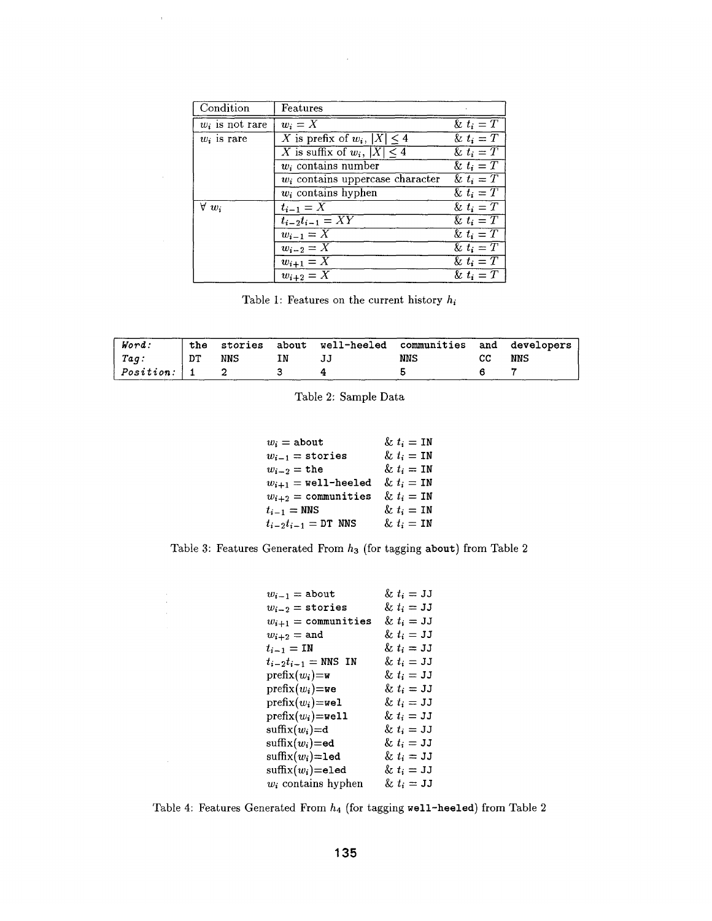| Condition         | Features                            |                         |
|-------------------|-------------------------------------|-------------------------|
| $w_i$ is not rare | $w_i = X$                           | & $t_i = T$             |
| $w_i$ is rare     | X is prefix of $w_i$ , $ X  \leq 4$ | & $t_i = T$             |
|                   | X is suffix of $w_i$ , $ X  \leq 4$ | $\overline{\&} t_i = T$ |
|                   | $w_i$ contains number               | & $t_i = T$             |
|                   | $w_i$ contains uppercase character  | & $t_i = T$             |
|                   | $w_i$ contains hyphen               | & $t_i = T$             |
| $\forall w_i$     | $t_{i-1}=X$                         | & $t_i = T$             |
|                   | $t_{i-2}t_{i-1}=XY$                 | & $t_i = T$             |
|                   | $\overline{w_{i-1}} = \overline{X}$ | & $t_i = T$             |
|                   | $w_{i-2}=X$                         | & $t_i = T$             |
|                   | $\overline{w_{i+1}=X}$              | $\overline{\&} t_i = T$ |
|                   | $w_{i+2}=X$                         | $\&\ t_i = T$           |

 $\bar{\mathrm{t}}$ 

Table 1: Features on the current history  $h_i$ 

| Word:                 |    |     |    | the stories about well-heeled communities and developers |     |    |     |
|-----------------------|----|-----|----|----------------------------------------------------------|-----|----|-----|
| $ $ Tag:              | DT | NNS | IN |                                                          | NNS | cс | NNS |
| $ $ $Position:$ $ $ 1 |    |     |    |                                                          |     |    |     |

Table 2: Sample Data

| $w_i =$ about                    | $\& t_i = \texttt{IN}$ |
|----------------------------------|------------------------|
| $w_{i-1}$ = stories              | $\& t_i = \texttt{IN}$ |
| $w_{i-2} = \texttt{the}$         | & $t_i = IN$           |
| $w_{i+1}$ = well-heeled          | $\& t_i = \texttt{IN}$ |
| $w_{i+2} =$ communities          | $\& t_i = \texttt{IN}$ |
| $t_{i-1} = \text{NNS}$           | $\& t_i = \texttt{IN}$ |
| $t_{i-2}t_{i-1} = \text{DT}$ NNS | & $t_i = IN$           |

Table 3: Features Generated From  $h_3$  (for tagging about) from Table 2

| $w_{i-1} =$ about                      | $\& t_i = \texttt{JJ}$ |
|----------------------------------------|------------------------|
| $w_{i-2}$ = stories                    | $\& t_i = \texttt{JJ}$ |
| $w_{i+1} =$ communities                | $\& t_i = \texttt{JJ}$ |
| $w_{i+2} =$ and                        | $\& t_i = \texttt{JJ}$ |
| $t_{i-1} = \texttt{IN}$                | $\& t_i = \texttt{JJ}$ |
| $t_{i-2}t_{i-1} =$ NNS IN              | $\& t_i = \texttt{JJ}$ |
| $\text{prefix}(w_i) = w$               | & $t_i = JJ$           |
| $prefix(w_i) =$ we                     | & $t_i = JJ$           |
| $\text{prefix}(w_i) = \text{well}$     | $\&~t_i = \mathtt{JJ}$ |
| $\mathrm{prefix}(w_i) = \mathtt{well}$ | $\&~t_i=\mathtt{JJ}$   |
| $\text{suffix}(w_i) = d$               | $\& t_i = JJ$          |
| $\text{suffix}(w_i) = \text{ed}$       | $\&~t_i=\mathtt{JJ}$   |
| $\text{suffix}(w_i) = \text{led}$      | $\& t_i = \texttt{JJ}$ |
| $\text{suffix}(w_i) = \text{eled}$     | $\& t_i = \mathtt{JJ}$ |
| $w_i$ contains hyphen                  | $\& t_i = \mathtt{JJ}$ |

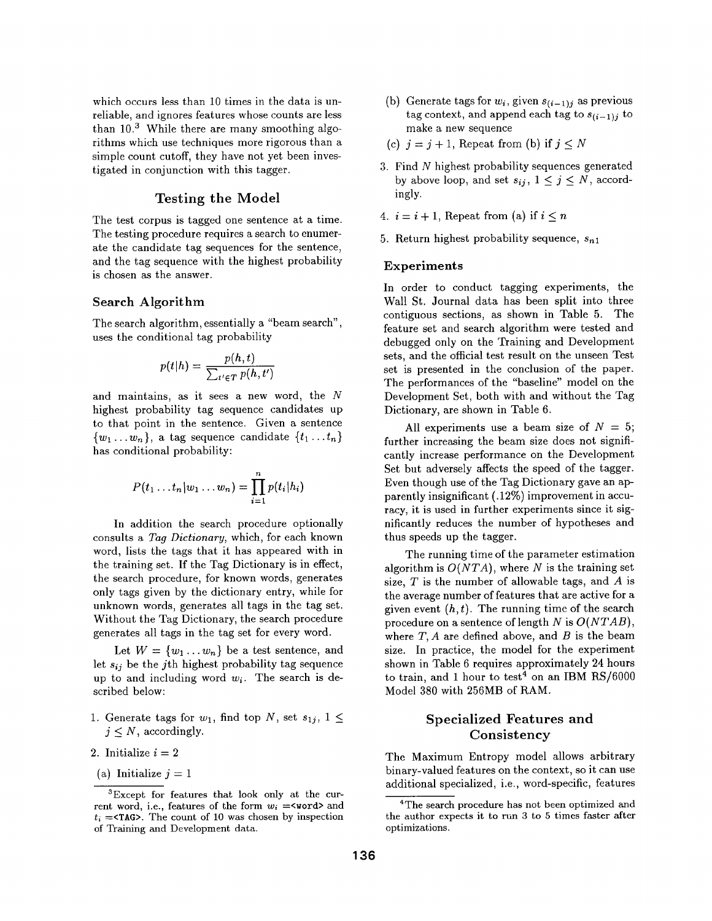which occurs less than 10 times in the data is unreliable, and ignores features whose counts are less than  $10<sup>3</sup>$  While there are many smoothing algorithms which use techniques more rigorous than a simple count cutoff, they have not yet been investigated in conjunction with this tagger.

# Testing the **Model**

The test corpus is tagged one sentence at a time. The testing procedure requires a search to enumerate the candidate tag sequences for the sentence, and the tag sequence with the highest probability is chosen as the answer.

### Search Algorithm

The search algorithm, essentially a "beam search", uses the conditional tag probability

$$
p(t|h) = \frac{p(h,t)}{\sum_{t' \in T} p(h,t')}
$$

and maintains, as it sees a new word, the N highest probability tag sequence candidates up to that point in the sentence. Given a sentence  $\{w_1 \dots w_n\}$ , a tag sequence candidate  $\{t_1 \dots t_n\}$ has conditional probability:

$$
P(t_1 \ldots t_n | w_1 \ldots w_n) = \prod_{i=1}^n p(t_i | h_i)
$$

In addition the search procedure optionally consults a *Tag Dictionary,* which, for each known word, lists the tags that it has appeared with in the training set. If the Tag Dictionary is in effect, the search procedure, for known words, generates only tags given by the dictionary entry, while for unknown words, generates all tags in the tag set. Without the Tag Dictionary, the search procedure generates all tags in the tag set for every word.

Let  $W = \{w_1 \dots w_n\}$  be a test sentence, and let  $s_{ij}$  be the j<sup>th</sup> highest probability tag sequence up to and including word  $w_i$ . The search is described below:

- 1. Generate tags for  $w_1$ , find top N, set  $s_{1j}$ ,  $1 \leq$  $j \leq N$ , accordingly.
- 2. Initialize  $i = 2$
- (a) Initialize  $j = 1$
- (b) Generate tags for  $w_i$ , given  $s_{(i-1)j}$  as previous tag context, and append each tag to  $s_{(i-1)j}$  to make a new sequence
- (c)  $i = j + 1$ , Repeat from (b) if  $j < N$
- 3. Find N highest probability sequences generated by above loop, and set  $s_{ij}$ ,  $1 \leq j \leq N$ , accordingly.
- 4.  $i = i + 1$ , Repeat from (a) if  $i \leq n$
- 5. Return highest probability sequence,  $s_{n1}$

#### **Experiments**

In order to conduct tagging experiments, the Wall St. Journal data has been split into three contiguous sections, as shown in Table 5. The feature set and search algorithm were tested and debugged only on the Training and Development sets, and the official test result on the unseen Test set is presented in the conclusion of the paper. The performances of the "baseline" model on the Development Set, both with and without the Tag Dictionary, are shown in Table 6.

All experiments use a beam size of  $N = 5$ ; further increasing the beam size does not significantly increase performance on the Development Set but adversely affects the speed of the tagger. Even though use of the Tag Dictionary gave an apparently insignificant (. 12%) improvement in accuracy, it is used in further experiments since it significantly reduces the number of hypotheses and thus speeds up the tagger.

The running time of the parameter estimation algorithm is  $O(NTA)$ , where N is the training set size,  $T$  is the number of allowable tags, and  $A$  is the average number of features that are active for a given event  $(h, t)$ . The running time of the search procedure on a sentence of length N is *O(NTAB),*  where  $T$ ,  $A$  are defined above, and  $B$  is the beam size. In practice, the model for the experiment shown in Table 6 requires approximately 24 hours to train, and 1 hour to test<sup>4</sup> on an IBM RS/6000 Model 380 with 256MB of RAM.

# **Specialized** Features and **Consistency**

The Maximum Entropy model allows arbitrary binary-valued features on the context, so it can use additional specialized, i.e., word-specific, features

<sup>3</sup>Except for features that look only at the current word, i.e., features of the form  $w_i =$ <word> and  $t_i = \text{STAG}$ . The count of 10 was chosen by inspection of Training and Development data.

<sup>&</sup>lt;sup>4</sup>The search procedure has not been optimized and the author expects it to run 3 to 5 times faster after optimizations.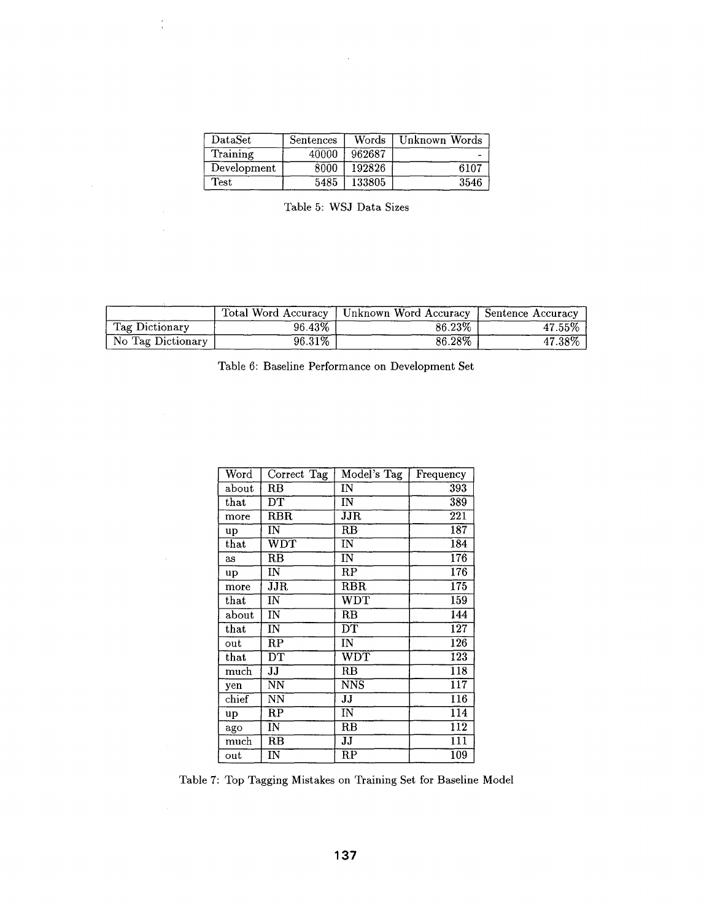| $\mathrm{DataSet}$ | Sentences | Words  | Unknown Words |
|--------------------|-----------|--------|---------------|
| Training           | 40000     | 962687 |               |
| Development        | 8000      | 192826 | 6107          |
| <b>Test</b>        | 5485      | 133805 | 3546          |

 $\hat{\mathcal{A}}$ 

 $\frac{1}{4}$ 

 $\hat{\mathcal{A}}$ 

 $\sim 10^{-1}$ 

| Table 5: WSJ Data Sizes |  |
|-------------------------|--|
|-------------------------|--|

|                   |           | Total Word Accuracy   Unknown Word Accuracy   Sentence Accuracy |        |
|-------------------|-----------|-----------------------------------------------------------------|--------|
| Tag Dictionary    | 96.43%    | 86.23%                                                          | 47.55% |
| No Tag Dictionary | $96.31\%$ | 86.28%                                                          | 47.38% |

|  |  | Table 6: Baseline Performance on Development Set |  |  |
|--|--|--------------------------------------------------|--|--|
|--|--|--------------------------------------------------|--|--|

| Word          | Correct Tag             | Model's Tag             | Frequency                              |
|---------------|-------------------------|-------------------------|----------------------------------------|
| about         | RB                      | IN                      | 393                                    |
| $_{\rm that}$ | DТ                      | IN                      | 389                                    |
| more          | $_{\rm RBR}$            | JJR                     | $\overline{221}$                       |
| <b>up</b>     | IN                      | RB                      | $\overline{187}$                       |
| that          | $\overline{\text{WDT}}$ | ΙÑ                      | $\overline{184}$                       |
| as            | $R\overline{B}$         | IN                      | 176                                    |
| up            | ΙN                      | RP                      | 176                                    |
| more          | JIR                     | <b>RBR</b>              | 175                                    |
| that          | IN                      | $\overline{\text{WDT}}$ | 159                                    |
| about         | IN                      | RB                      | 144                                    |
| $_{\rm that}$ | $\overline{\text{IN}}$  | $\overline{\text{DT}}$  | 127                                    |
| out           | $_{\rm RP}$             | IN                      | $\overline{126}$                       |
| that          | $\overline{\text{DT}}$  | $\overline{\text{WDT}}$ | $\overline{123}$                       |
| much          | IJ                      | $_{\rm RB}$             | $\overline{1}18$                       |
| yen           | NN                      | <b>NNS</b>              | $\overline{117}$                       |
| chief         | NN                      | JJ                      | 116                                    |
| up            | $\overline{\text{RP}}$  | IN                      | 114                                    |
| ago           | $\overline{\text{IN}}$  | $\overline{\text{RB}}$  | $\overline{1}\overline{1}\overline{2}$ |
| much          | RB                      | JJ                      | $\overline{1}\overline{1}\overline{1}$ |
| out           | IN                      | RP                      | 109                                    |

Table 7: Top Tagging Mistakes on Training Set for Baseline Model

**137**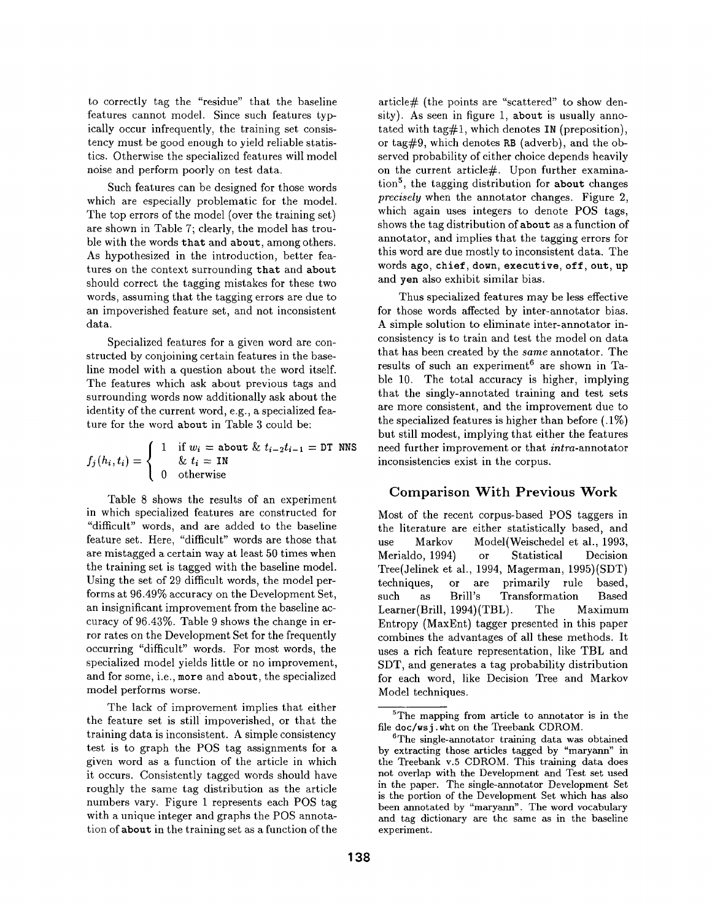to correctly tag the "residue" that the baseline features cannot model. Since such features typically occur infrequently, the training set consistency must be good enough to yield reliable statistics. Otherwise the specialized features will model noise and perform poorly on test data.

Such features can be designed for those words which are especially problematic for the model. The top errors of the model (over the training set) are shown in Table 7; clearly, the model has trouble with the words that and about, among others. As hypothesized in the introduction, better features on the context surrounding that and about should correct the tagging mistakes for these two words, assuming that the tagging errors are due to an impoverished feature set, and not inconsistent data.

Specialized features for a given word are constructed by conjoining certain features in the baseline model with a question about the word itself. The features which ask about previous tags and surrounding words now additionally ask about the identity of the current word, e.g., a specialized feature for the word about in Table 3 could be:

$$
f_j(h_i, t_i) = \begin{cases} 1 & \text{if } w_i = \text{about } \& t_{i-2}t_{i-1} = \text{DT NNS} \\ \& t_i = \text{IN} \\ 0 & \text{otherwise} \end{cases}
$$

Table 8 shows the results of an experiment in which specialized features are constructed for "difficult" words, and are added to the baseline feature set. Here, "difficult" words are those that are mistagged a certain way at least 50 times when the training set is tagged with the baseline model. Using the set of 29 difficult words, the model performs at 96.49% accuracy on the Development Set, an insignificant improvement from the baseline accuracy of 96.43%. Table 9 shows the change in error rates on the Development Set for the frequently occurring "difficult" words. For most words, the specialized model yields little or no improvement, and for some, i.e., more and about, the specialized model performs worse.

The lack of improvement implies that either the feature set is still impoverished, or that the training data is inconsistent. A simple consistency test is to graph the POS tag assignments for a given word as a function of the article in which it occurs. Consistently tagged words should have roughly the same tag distribution as the article numbers vary. Figure 1 represents each POS tag with a unique integer and graphs the POS annotation of about in the training set as a function of the

article $#$  (the points are "scattered" to show density). As seen in figure 1, about is usually annotated with tag#1, which denotes  $IN$  (preposition), or tag#9, which denotes RB (adverb), and the observed probability of either choice depends heavily on the current article $#$ . Upon further examination<sup>5</sup>, the tagging distribution for about changes *precisely* when the annotator changes. Figure 2, which again uses integers to denote POS tags, shows the tag distribution of about as a function of annotator, and implies that the tagging errors for this word are due mostly to inconsistent data. The words ago, chief, down, executive, off, out, up and yen also exhibit similar bias.

Thus specialized features may be less effective for those words affected by inter-annotator bias. A simple solution to eliminate inter-annotator inconsistency is to train and test the model on data that has been created by the *same* annotator. The results of such an experiment<sup>6</sup> are shown in Table 10. The total accuracy is higher, implying that the singly-annotated training and test sets are more consistent, and the improvement due to the specialized features is higher than before (.1%) but still modest, implying that either the features need further improvement or that *intra-annotator*  inconsistencies exist in the corpus.

## Comparison With Previous Work

Most of the recent corpus-based POS taggers in the literature are either statistically based, and use Markov Model(Weischedel et al., 1993, Merialdo, 1994) or Statistical Decision Tree(Jelinek et al., 1994, Magerman, 1995)(SDT) techniques, or are primarily rule based, such as Drill's Transformation Based Learner(Drill, 1994)(TBL). The Maximum Entropy (MaxEnt) tagger presented in this paper combines the advantages of all these methods. It uses a rich feature representation, like TBL and SDT, and generates a tag probability distribution for each word, like Decision Tree and Markov Model techniques.

<sup>&</sup>lt;sup>5</sup>The mapping from article to annotator is in the file doc/wsj .wht on the Treebank CDROM.

<sup>&</sup>lt;sup>6</sup>The single-annotator training data was obtained by extracting those articles tagged by "maryann" in the Treebank v.5 CDROM. This training data does not overlap with the Development and Test set used in the paper. The single-annotator Development Set is the portion of the Development Set which has also been annotated by "maryann". The word vocabulary and tag dictionary are the same as in the baseline experiment.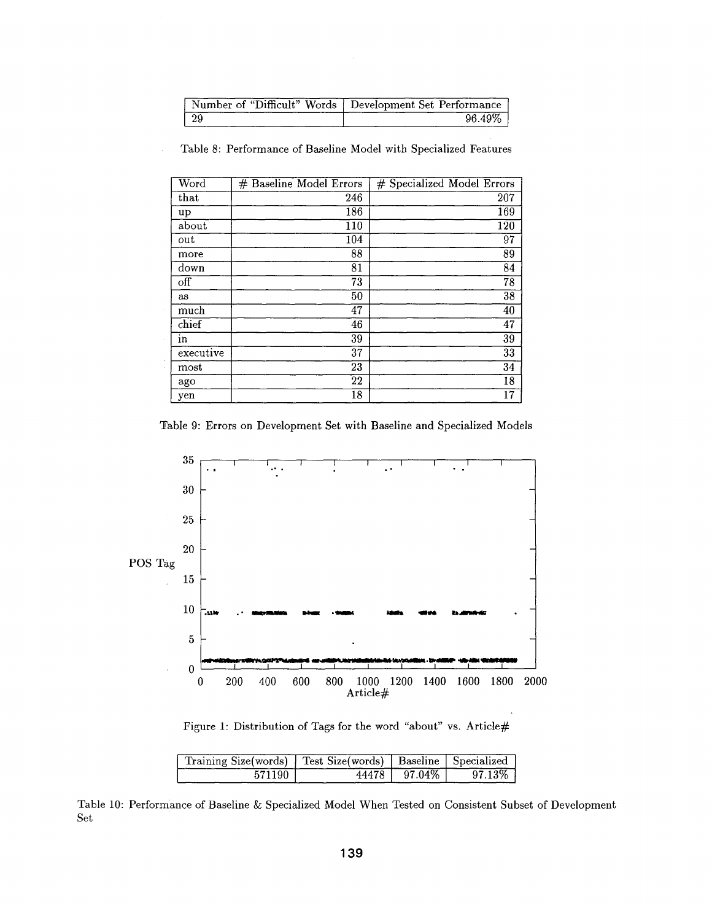|    | Number of "Difficult" Words   Development Set Performance |
|----|-----------------------------------------------------------|
| 29 | $96.49\%$                                                 |

| Word                    | # Baseline Model Errors | # Specialized Model Errors |
|-------------------------|-------------------------|----------------------------|
| that                    | 246                     | 207                        |
| up                      | $\overline{186}$        | 169                        |
| about                   | 110                     | 120                        |
| out                     | 104                     | 97                         |
| more                    | 88                      | 89                         |
| down                    | 81                      | 84                         |
| $\overline{\text{off}}$ | 73                      | $\overline{78}$            |
| as                      | 50                      | 38                         |
| much                    | 47                      | 40                         |
| chief                   | 46                      | 47                         |
| in                      | 39                      | $3\overline{9}$            |
| executive               | $3\overline{7}$         | $\overline{33}$            |
| most                    | 23                      | 34                         |
| ago                     | 22                      | 18                         |
| yen                     | 18                      | 17                         |

Table 8: Performance of Baseline Model with Specialized Features

Table 9: Errors on Development Set with Baseline and Specialized Models



Figure 1: Distribution of Tags for the word "about" vs. Article#

| Training Size(words)   Test Size(words)   Baseline   Specialized |                |           |
|------------------------------------------------------------------|----------------|-----------|
| 571190                                                           | 44478   97.04% | $97.13\%$ |

Table 10: Performance of Baseline & Specialized Model When Tested on Consistent Subset of Development Set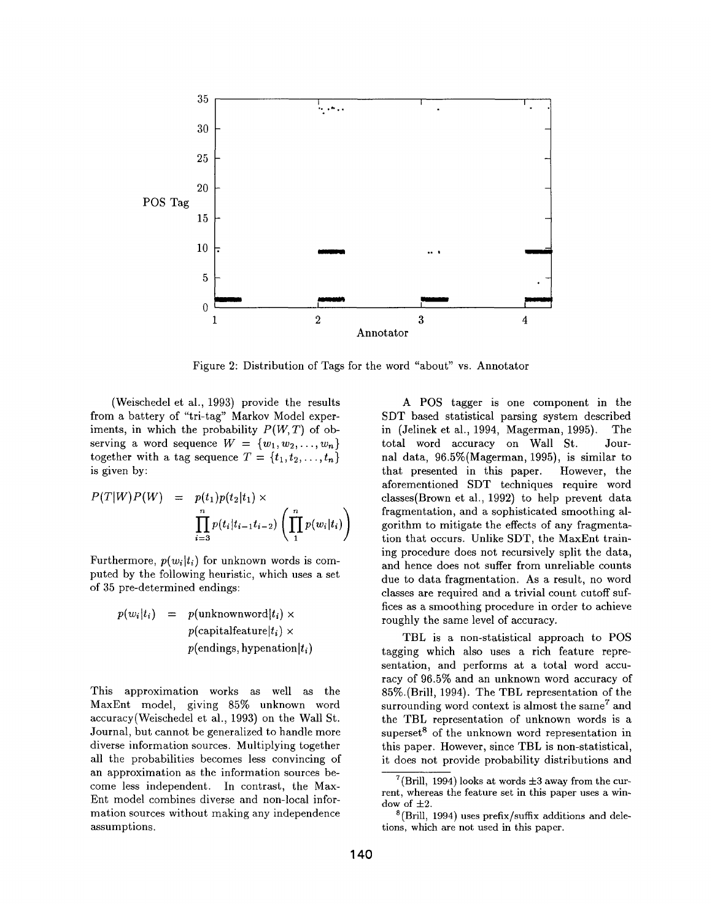

Figure 2: Distribution of Tags for the word "about" vs. Annotator

(Weischedel et al., 1993) provide the results from a battery of "tri-tag" Markov Model experiments, in which the probability *P(W,T)* of observing a word sequence  $W = \{w_1, w_2, \ldots, w_n\}$ together with a tag sequence  $T = \{t_1, t_2, \ldots, t_n\}$ is given by:

$$
P(T|W)P(W) = p(t_1)p(t_2|t_1) \times \prod_{i=3}^{n} p(t_i|t_{i-1}t_{i-2}) \left(\prod_{1}^{n} p(w_i|t_i)\right)
$$

Furthermore,  $p(w_i|t_i)$  for unknown words is computed by the following heuristic, which uses a set of 35 pre-determined endings:

> $p(w_i|t_i) = p(\text{unknownword}|t_i) \times$  $p$ (capitalfeature $|t_i\rangle \times$  $p(\text{endings}, \text{hypenation}|t_i)$

This approximation works as well as the MaxEnt model, giving 85% unknown word accuracy(Weischedel et al., 1993) on the Wall St. Journal, but cannot be generalized to handle more diverse information sources. Multiplying together all the probabilities becomes less convincing of an approximation as the information sources become less independent. In contrast, the Max-Ent model combines diverse and non-local information sources without making any independence assumptions.

A POS tagger is one component in the SDT based statistical parsing system described in (Jelinek et al., 1994, Magerman, 1995). The total word accuracy on Wall St. Journal data, 96.5%(Magerman, 1995), is similar to that presented in this paper. However, the aforementioned SDT techniques require word classes(Brown et al., 1992) to help prevent data fragmentation, and a sophisticated smoothing algorithm to mitigate the effects of any fragmentation that occurs. Unlike SDT, the MaxEnt training procedure does not recursively split the data, and hence does not suffer from unreliable counts due to data fragmentation. As a result, no word classes are required and a trivial count cutoff suffices as a smoothing procedure in order to achieve roughly the same level of accuracy.

TBL is a non-statistical approach to POS tagging which also uses a rich feature representation, and performs at a total word accuracy of 96.5% and an unknown word accuracy of 85%.(Bri11, 1994). The TBL representation of the surrounding word context is almost the same<sup>7</sup> and the TBL representation of unknown words is a superset<sup>8</sup> of the unknown word representation in this paper. However, since TBL is non-statistical, it does not provide probability distributions and

 $7$ (Brill, 1994) looks at words  $\pm 3$  away from the current, whereas the feature set in this paper uses a window of  $\pm 2$ .

 $8$ (Brill, 1994) uses prefix/suffix additions and deletions, which are not used in this paper.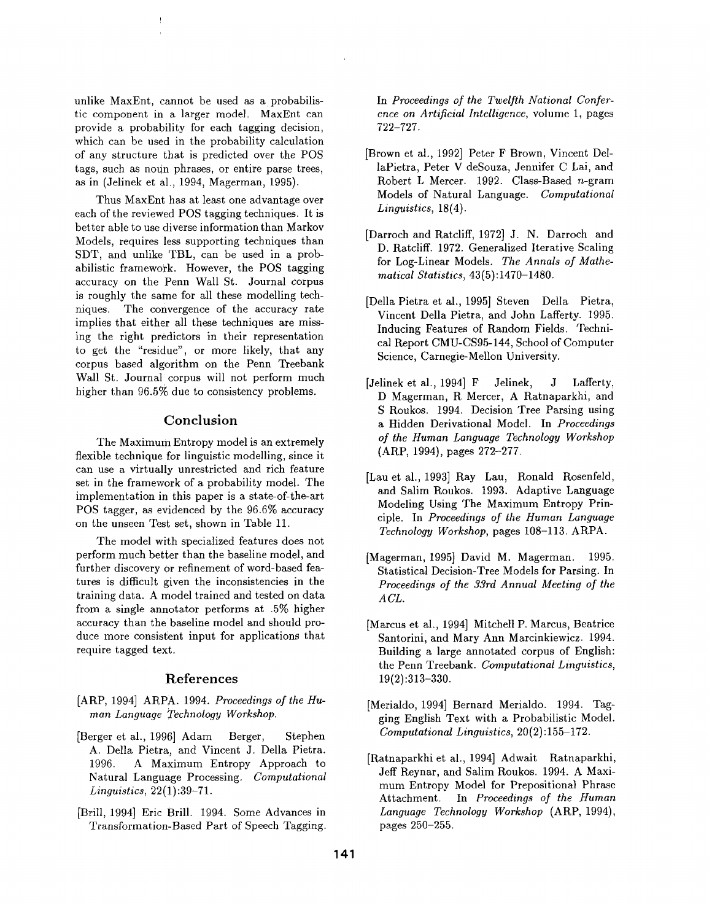unlike MaxEnt, cannot be used as a probabilistic component in a larger model. MaxEnt can provide a probability for each tagging decision, which can be used in the probability calculation of any structure that is predicted over the POS tags, such as noun phrases, or entire parse trees, as in (Jelinek et al., 1994, Magerman, 1995).

!

Thus MaxEnt has at least one advantage over each of the reviewed POS tagging techniques. It is better able to use diverse information than Markov Models, requires less supporting techniques than SDT, and unlike TBL, can be used in a probabilistic framework. However, the POS tagging accuracy on the Penn Wall St. Journal corpus is roughly the same for all these modelling techniques. The convergence of the accuracy rate implies that either all these techniques are missing the right predictors in their representation to get the "residue", or more likely, that any corpus based algorithm on the Penn Treebank Wall St. Journal corpus will not perform much higher than 96.5% due to consistency problems.

#### **Conclusion**

The Maximum Entropy model is an extremely flexible technique for linguistic modelling, since it can use a virtually unrestricted and rich feature set in the framework of a probability model. The implementation in this paper is a state-of-the-art POS tagger, as evidenced by the 96.6% accuracy on the unseen Test set, shown in Table 11.

The model with specialized features does not perform much better than the baseline model, and further discovery or refinement of word-based features is difficult given the inconsistencies in the training data. A model trained and tested on data from a single annotator performs at .5% higher accuracy than the baseline model and should produce more consistent input for applications that require tagged text.

#### **References**

- [ARP, 1994] ARPA. 1994. *Proceedings of the Human Language Technology Workshop.*
- [Berger et al., 1996] Adam Berger, Stephen A. Della Pietra, and Vincent J. Della Pietra. 1996. A Maximum Entropy Approach to Natural Language Processing. *Computational Linguistics,* 22(1):39-71.
- [Brill, 1994] Eric Brill. 1994. Some Advances in Transformation-Based Part of Speech Tagging.

In Proceedings of the Twelfth National Confer*ence on Artificial Intelligence,* volume 1, pages 722-727.

- [Brown et al., 1992] Peter F Brown, Vincent DellaPietra, Peter V deSouza, Jennifer C Lai, and Robert L Mercer. 1992. Class-Based n-gram Models of Natural Language. *Computational Linguistics,* 18(4).
- [Darroch and Ratcliff, 1972] J. N. Darroch and D. Ratcliff. 1972. Generalized Iterative Scaling for Log-Linear Models. *The Annals of Mathematical Statistics,* 43(5) :1470-1480.
- [Della Pietra et al., 1995] Steven Della Pietra, Vincent Della Pietra, and John Lafferty. 1995. Inducing Features of Random Fields. Technical Report CMU-CS95-144, School of Computer Science, Carnegie-Mellon University.
- [Jelinek et al., 1994] F Jelinek, J Lafferty, D Magerman, R Mercer, A Ratnaparkhi, and S Roukos. 1994. Decision Tree Parsing using a Hidden Derivational Model. In *Proceedings of the Human Language Technology Workshop*  (ARP, 1994), pages 272-277.
- [Lau et al., 1993] Ray Lau, Ronald Rosenfeld, and Salim Roukos. 1993. Adaptive Language Modeling Using The Maximum Entropy Principle. In *Proceedings of the Human Language Technology Workshop,* pages 108-113. ARPA.
- [Magerman, 1995] David M. Magerman. 1995. Statistical Decision-Tree Models for Parsing. In *Proceedings of the 33rd Annual Meeting of the ACL.*
- [Marcus et al., 1994] Mitchell P. Marcus, Beatrice Santorini, and Mary Ann Mareinkiewicz. 1994. Building a large annotated corpus of English: the Penn Treebank. *Computational Linguistics,*  19(2):313-330.
- [Merialdo, 1994] Bernard Merialdo. 1994. Tagging English Text with a Probabilistic Model. *Computational Linguistics,* 20(2):155-172.
- [Ratnaparkhi et al., 1994] Adwait Ratnaparkhi, Jeff Reynar, and Salim Roukos. 1994. A Maximum Entropy Model for Prepositional Phrase Attachment. In *Proceedings of the Human Language Technology Workshop* (ARP, 1994), pages 250-255.